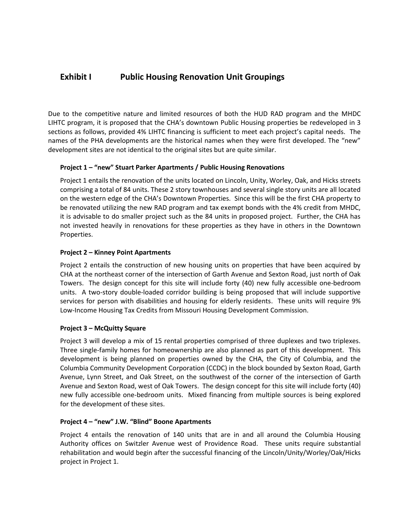# **Exhibit I** Public Housing Renovation Unit Groupings

Due to the competitive nature and limited resources of both the HUD RAD program and the MHDC LIHTC program, it is proposed that the CHA's downtown Public Housing properties be redeveloped in 3 sections as follows, provided 4% LIHTC financing is sufficient to meet each project's capital needs. The names of the PHA developments are the historical names when they were first developed. The "new" development sites are not identical to the original sites but are quite similar.

## **Project 1 – "new" Stuart Parker Apartments / Public Housing Renovations**

Project 1 entails the renovation of the units located on Lincoln, Unity, Worley, Oak, and Hicks streets comprising a total of 84 units. These 2 story townhouses and several single story units are all located on the western edge of the CHA's Downtown Properties. Since this will be the first CHA property to be renovated utilizing the new RAD program and tax exempt bonds with the 4% credit from MHDC, it is advisable to do smaller project such as the 84 units in proposed project. Further, the CHA has not invested heavily in renovations for these properties as they have in others in the Downtown Properties.

## **Project 2 – Kinney Point Apartments**

Project 2 entails the construction of new housing units on properties that have been acquired by CHA at the northeast corner of the intersection of Garth Avenue and Sexton Road, just north of Oak Towers. The design concept for this site will include forty (40) new fully accessible one-bedroom units. A two-story double-loaded corridor building is being proposed that will include supportive services for person with disabilities and housing for elderly residents. These units will require 9% Low-Income Housing Tax Credits from Missouri Housing Development Commission.

### **Project 3 – McQuitty Square**

Project 3 will develop a mix of 15 rental properties comprised of three duplexes and two triplexes. Three single-family homes for homeownership are also planned as part of this development. This development is being planned on properties owned by the CHA, the City of Columbia, and the Columbia Community Development Corporation (CCDC) in the block bounded by Sexton Road, Garth Avenue, Lynn Street, and Oak Street, on the southwest of the corner of the intersection of Garth Avenue and Sexton Road, west of Oak Towers. The design concept for this site will include forty (40) new fully accessible one-bedroom units. Mixed financing from multiple sources is being explored for the development of these sites.

### **Project 4 – "new" J.W. "Blind" Boone Apartments**

Project 4 entails the renovation of 140 units that are in and all around the Columbia Housing Authority offices on Switzler Avenue west of Providence Road. These units require substantial rehabilitation and would begin after the successful financing of the Lincoln/Unity/Worley/Oak/Hicks project in Project 1.